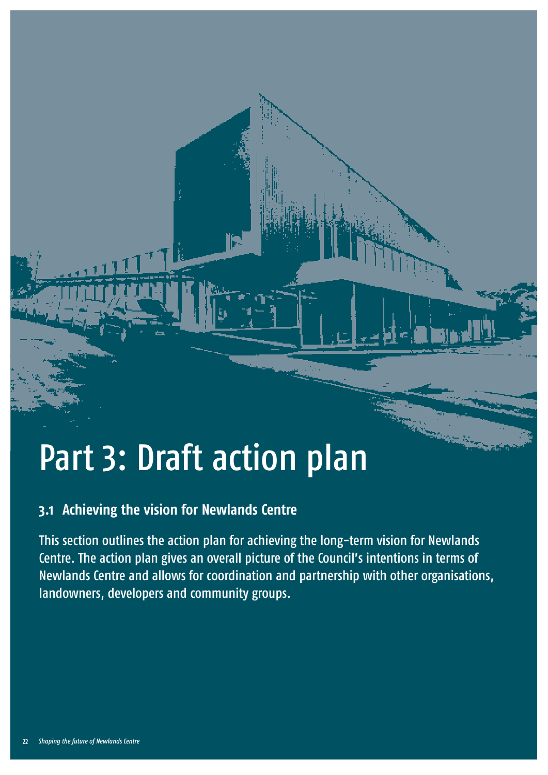# Part 3: Draft action plan 3: Draft action plan 3: Draft action plan 3: Draft action plan 3: Draft action plan 3: Draft action plan 3: Draft action plan 3: Draft action plan 3: Draft action plan 3: Draft action plan 3: Draf

# **3.1 Achieving the vision for Newlands Centre**

This section outlines the action plan for achieving the long-term vision for Newlands Centre. The action plan gives an overall picture of the Council's intentions in terms of Newlands Centre and allows for coordination and partnership with other organisations, landowners, developers and community groups.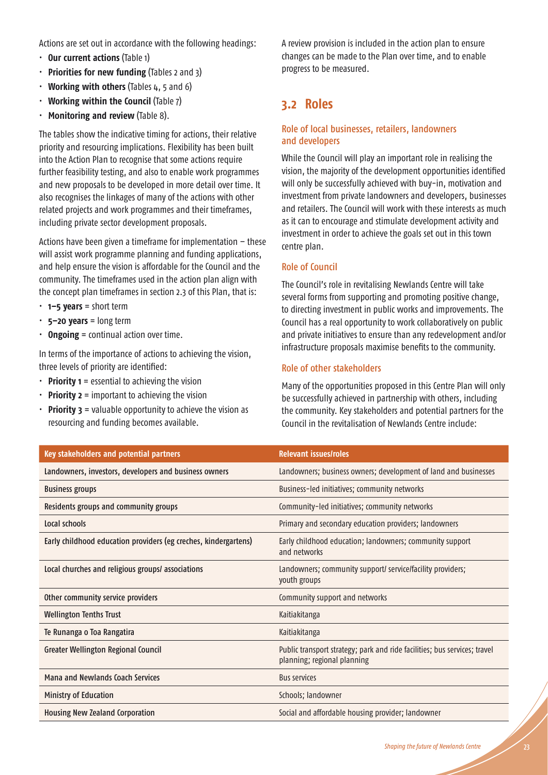Actions are set out in accordance with the following headings:

- **Our current actions** (Table 1)
- **Priorities for new funding** (Tables 2 and 3)
- **Working with others** (Tables 4, 5 and 6)
- **Working within the Council (Table 7)**
- **Monitoring and review** (Table 8).

The tables show the indicative timing for actions, their relative priority and resourcing implications. Flexibility has been built into the Action Plan to recognise that some actions require further feasibility testing, and also to enable work programmes and new proposals to be developed in more detail over time. It also recognises the linkages of many of the actions with other related projects and work programmes and their timeframes, including private sector development proposals.

Actions have been given a timeframe for implementation – these will assist work programme planning and funding applications, and help ensure the vision is affordable for the Council and the community. The timeframes used in the action plan align with the concept plan timeframes in section 2.3 of this Plan, that is:

- t **1–5 years** = short term
- 5-20 years = long term
- $\cdot$  **Ongoing** = continual action over time.

In terms of the importance of actions to achieving the vision, three levels of priority are identified:

- $\cdot$  **Priority 1** = essential to achieving the vision
- **Priority 2** = important to achieving the vision
- $\cdot$  **Priority 3** = valuable opportunity to achieve the vision as resourcing and funding becomes available.

#### A review provision is included in the action plan to ensure changes can be made to the Plan over time, and to enable progress to be measured.

## **3.2 Roles**

#### Role of local businesses, retailers, landowners and developers

While the Council will play an important role in realising the vision, the majority of the development opportunities identified will only be successfully achieved with buy-in, motivation and investment from private landowners and developers, businesses and retailers. The Council will work with these interests as much as it can to encourage and stimulate development activity and investment in order to achieve the goals set out in this town centre plan.

#### Role of Council

The Council's role in revitalising Newlands Centre will take several forms from supporting and promoting positive change, to directing investment in public works and improvements. The Council has a real opportunity to work collaboratively on public and private initiatives to ensure than any redevelopment and/or infrastructure proposals maximise benefits to the community.

#### Role of other stakeholders

Many of the opportunities proposed in this Centre Plan will only be successfully achieved in partnership with others, including the community. Key stakeholders and potential partners for the Council in the revitalisation of Newlands Centre include:

| Key stakeholders and potential partners                         | <b>Relevant issues/roles</b>                                                                             |
|-----------------------------------------------------------------|----------------------------------------------------------------------------------------------------------|
| Landowners, investors, developers and business owners           | Landowners; business owners; development of land and businesses                                          |
| <b>Business groups</b>                                          | Business-led initiatives; community networks                                                             |
| Residents groups and community groups                           | Community-led initiatives; community networks                                                            |
| Local schools                                                   | Primary and secondary education providers; landowners                                                    |
| Early childhood education providers (eg creches, kindergartens) | Early childhood education; landowners; community support<br>and networks                                 |
| Local churches and religious groups/associations                | Landowners; community support/ service/facility providers;<br>youth groups                               |
| Other community service providers                               | Community support and networks                                                                           |
| <b>Wellington Tenths Trust</b>                                  | Kaitiakitanga                                                                                            |
| Te Runanga o Toa Rangatira                                      | Kaitiakitanga                                                                                            |
| Greater Wellington Regional Council                             | Public transport strategy; park and ride facilities; bus services; travel<br>planning; regional planning |
| <b>Mana and Newlands Coach Services</b>                         | <b>Bus services</b>                                                                                      |
| <b>Ministry of Education</b>                                    | Schools; landowner                                                                                       |
| <b>Housing New Zealand Corporation</b>                          | Social and affordable housing provider; landowner                                                        |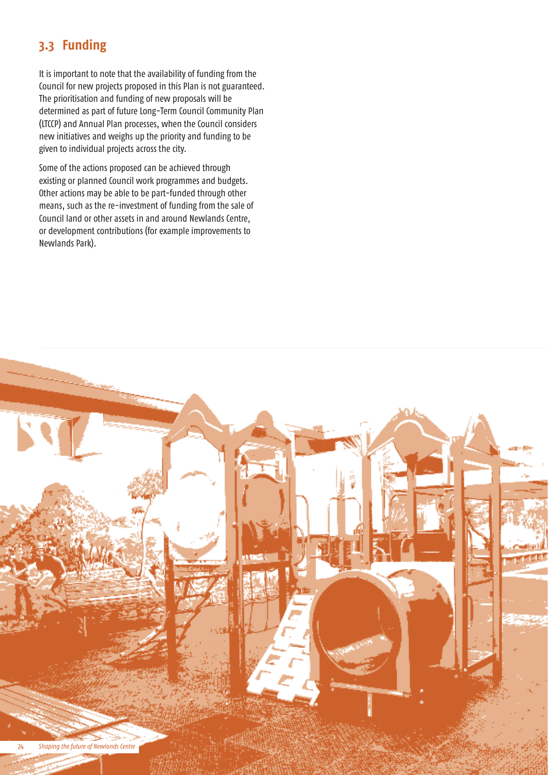# **3.3 Funding**

It is important to note that the availability of funding from the Council for new projects proposed in this Plan is not guaranteed. The prioritisation and funding of new proposals will be determined as part of future Long-Term Council Community Plan (LTCCP) and Annual Plan processes, when the Council considers new initiatives and weighs up the priority and funding to be given to individual projects across the city.

Some of the actions proposed can be achieved through existing or planned Council work programmes and budgets. Other actions may be able to be part-funded through other means, such as the re-investment of funding from the sale of Council land or other assets in and around Newlands Centre, or development contributions (for example improvements to Newlands Park).

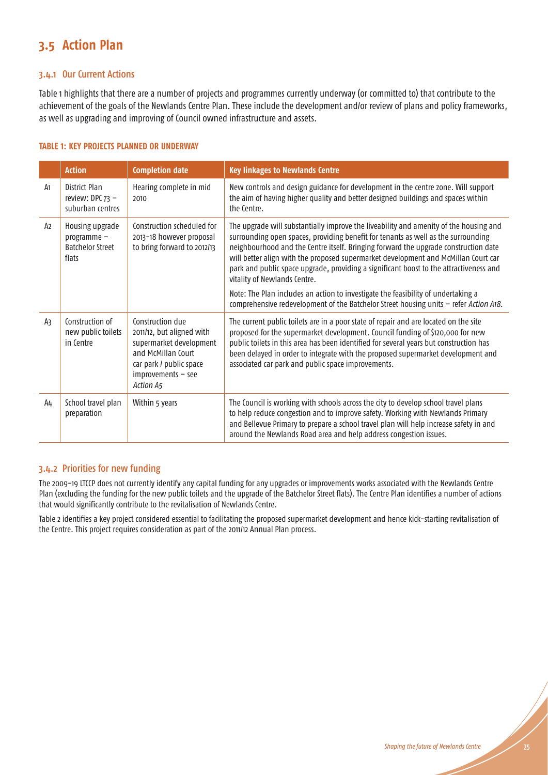# **3.5 Action Plan**

#### 3.4.1 Our Current Actions

Table 1 highlights that there are a number of projects and programmes currently underway (or committed to) that contribute to the achievement of the goals of the Newlands Centre Plan. These include the development and/or review of plans and policy frameworks, as well as upgrading and improving of Council owned infrastructure and assets.

#### **TABLE 1: KEY PROJECTS PLANNED OR UNDERWAY**

|                | <b>Action</b>                                                      | <b>Completion date</b>                                                                                                                                         | <b>Key linkages to Newlands Centre</b>                                                                                                                                                                                                                                                                                                                                                                                                                                            |  |
|----------------|--------------------------------------------------------------------|----------------------------------------------------------------------------------------------------------------------------------------------------------------|-----------------------------------------------------------------------------------------------------------------------------------------------------------------------------------------------------------------------------------------------------------------------------------------------------------------------------------------------------------------------------------------------------------------------------------------------------------------------------------|--|
| A <sub>1</sub> | District Plan<br>review: DPC $73 -$<br>suburban centres            | Hearing complete in mid<br>2010                                                                                                                                | New controls and design guidance for development in the centre zone. Will support<br>the aim of having higher quality and better designed buildings and spaces within<br>the Centre.                                                                                                                                                                                                                                                                                              |  |
| A <sub>2</sub> | Housing upgrade<br>programme -<br><b>Batchelor Street</b><br>flats | Construction scheduled for<br>2013-18 however proposal<br>to bring forward to 2012/13                                                                          | The upgrade will substantially improve the liveability and amenity of the housing and<br>surrounding open spaces, providing benefit for tenants as well as the surrounding<br>neighbourhood and the Centre itself. Bringing forward the upgrade construction date<br>will better align with the proposed supermarket development and McMillan Court car<br>park and public space upgrade, providing a significant boost to the attractiveness and<br>vitality of Newlands Centre. |  |
|                |                                                                    |                                                                                                                                                                | Note: The Plan includes an action to investigate the feasibility of undertaking a<br>comprehensive redevelopment of the Batchelor Street housing units - refer Action A18.                                                                                                                                                                                                                                                                                                        |  |
| A3             | Construction of<br>new public toilets<br>in Centre                 | Construction due<br>2011/12, but aligned with<br>supermarket development<br>and McMillan Court<br>car park / public space<br>$improvements - see$<br>Action A5 | The current public toilets are in a poor state of repair and are located on the site<br>proposed for the supermarket development. Council funding of \$120,000 for new<br>public toilets in this area has been identified for several years but construction has<br>been delayed in order to integrate with the proposed supermarket development and<br>associated car park and public space improvements.                                                                        |  |
| A4             | School travel plan<br>preparation                                  | Within 5 years                                                                                                                                                 | The Council is working with schools across the city to develop school travel plans<br>to help reduce congestion and to improve safety. Working with Newlands Primary<br>and Bellevue Primary to prepare a school travel plan will help increase safety in and<br>around the Newlands Road area and help address congestion issues.                                                                                                                                                |  |

## 3.4.2 Priorities for new funding

The 2009-19 LTCCP does not currently identify any capital funding for any upgrades or improvements works associated with the Newlands Centre Plan (excluding the funding for the new public toilets and the upgrade of the Batchelor Street flats). The Centre Plan identifies a number of actions that would significantly contribute to the revitalisation of Newlands Centre.

Table 2 identifies a key project considered essential to facilitating the proposed supermarket development and hence kick-starting revitalisation of the Centre. This project requires consideration as part of the 2011/12 Annual Plan process.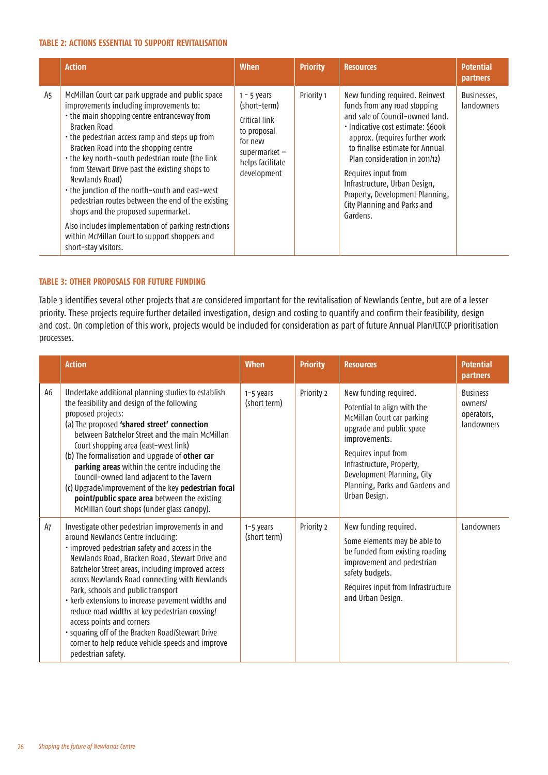#### **TABLE 2: ACTIONS ESSENTIAL TO SUPPORT REVITALISATION**

|    | <b>Action</b>                                                                                                                                                                                                                                                                                                                                                                                                                                                                                                                                                                                                                                                | <b>When</b>                                                                                                                    | <b>Priority</b> | <b>Resources</b>                                                                                                                                                                                                                                                                                                                                                                     | <b>Potential</b><br><b>partners</b> |
|----|--------------------------------------------------------------------------------------------------------------------------------------------------------------------------------------------------------------------------------------------------------------------------------------------------------------------------------------------------------------------------------------------------------------------------------------------------------------------------------------------------------------------------------------------------------------------------------------------------------------------------------------------------------------|--------------------------------------------------------------------------------------------------------------------------------|-----------------|--------------------------------------------------------------------------------------------------------------------------------------------------------------------------------------------------------------------------------------------------------------------------------------------------------------------------------------------------------------------------------------|-------------------------------------|
| A5 | McMillan Court car park upgrade and public space<br>improvements including improvements to:<br>• the main shopping centre entranceway from<br>Bracken Road<br>• the pedestrian access ramp and steps up from<br>Bracken Road into the shopping centre<br>• the key north-south pedestrian route (the link<br>from Stewart Drive past the existing shops to<br>Newlands Road)<br>• the junction of the north-south and east-west<br>pedestrian routes between the end of the existing<br>shops and the proposed supermarket.<br>Also includes implementation of parking restrictions<br>within McMillan Court to support shoppers and<br>short-stay visitors. | $1 - 5$ years<br>(short-term)<br>Critical link<br>to proposal<br>for new<br>supermarket $-$<br>helps facilitate<br>development | Priority 1      | New funding required. Reinvest<br>funds from any road stopping<br>and sale of Council-owned land.<br>· Indicative cost estimate: \$600k<br>approx. (requires further work<br>to finalise estimate for Annual<br>Plan consideration in 2011/12)<br>Requires input from<br>Infrastructure, Urban Design,<br>Property, Development Planning,<br>City Planning and Parks and<br>Gardens. | Businesses,<br>landowners           |

#### **TABLE 3: OTHER PROPOSALS FOR FUTURE FUNDING**

Table 3 identifies several other projects that are considered important for the revitalisation of Newlands Centre, but are of a lesser priority. These projects require further detailed investigation, design and costing to quantify and confirm their feasibility, design and cost. On completion of this work, projects would be included for consideration as part of future Annual Plan/LTCCP prioritisation processes.

|    | <b>Action</b>                                                                                                                                                                                                                                                                                                                                                                                                                                                                                                                                                                                           | <b>When</b>               | <b>Priority</b> | <b>Resources</b>                                                                                                                                                                                                                                                      | <b>Potential</b><br>partners                           |
|----|---------------------------------------------------------------------------------------------------------------------------------------------------------------------------------------------------------------------------------------------------------------------------------------------------------------------------------------------------------------------------------------------------------------------------------------------------------------------------------------------------------------------------------------------------------------------------------------------------------|---------------------------|-----------------|-----------------------------------------------------------------------------------------------------------------------------------------------------------------------------------------------------------------------------------------------------------------------|--------------------------------------------------------|
| A6 | Undertake additional planning studies to establish<br>the feasibility and design of the following<br>proposed projects:<br>(a) The proposed 'shared street' connection<br>between Batchelor Street and the main McMillan<br>Court shopping area (east-west link)<br>(b) The formalisation and upgrade of other car<br>parking areas within the centre including the<br>Council-owned land adjacent to the Tavern<br>(c) Upgrade/improvement of the key pedestrian focal<br>point/public space area between the existing<br>McMillan Court shops (under glass canopy).                                   | 1-5 years<br>(short term) | Priority 2      | New funding required.<br>Potential to align with the<br>McMillan Court car parking<br>upgrade and public space<br>improvements.<br>Requires input from<br>Infrastructure, Property,<br>Development Planning, City<br>Planning, Parks and Gardens and<br>Urban Design. | <b>Business</b><br>owners/<br>operators,<br>landowners |
| A7 | Investigate other pedestrian improvements in and<br>around Newlands Centre including:<br>· improved pedestrian safety and access in the<br>Newlands Road, Bracken Road, Stewart Drive and<br>Batchelor Street areas, including improved access<br>across Newlands Road connecting with Newlands<br>Park, schools and public transport<br>· kerb extensions to increase pavement widths and<br>reduce road widths at key pedestrian crossing/<br>access points and corners<br>· squaring off of the Bracken Road/Stewart Drive<br>corner to help reduce vehicle speeds and improve<br>pedestrian safety. | 1-5 years<br>(short term) | Priority 2      | New funding required.<br>Some elements may be able to<br>be funded from existing roading<br>improvement and pedestrian<br>safety budgets.<br>Requires input from Infrastructure<br>and Urban Design.                                                                  | Landowners                                             |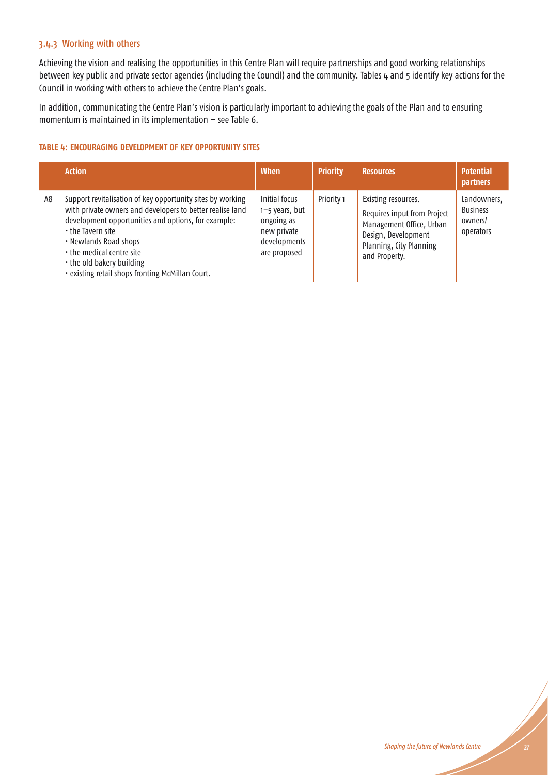## 3.4.3 Working with others

Achieving the vision and realising the opportunities in this Centre Plan will require partnerships and good working relationships between key public and private sector agencies (including the Council) and the community. Tables 4 and 5 identify key actions for the Council in working with others to achieve the Centre Plan's goals.

In addition, communicating the Centre Plan's vision is particularly important to achieving the goals of the Plan and to ensuring momentum is maintained in its implementation – see Table 6.

#### **TABLE 4: ENCOURAGING DEVELOPMENT OF KEY OPPORTUNITY SITES**

|    | <b>Action</b>                                                                                                                                                                                                                                                                                                                              | <b>When</b>                                                                                  | <b>Priority</b> | <b>Resources</b>                                                                                                                                  | <b>Potential</b><br>partners                           |
|----|--------------------------------------------------------------------------------------------------------------------------------------------------------------------------------------------------------------------------------------------------------------------------------------------------------------------------------------------|----------------------------------------------------------------------------------------------|-----------------|---------------------------------------------------------------------------------------------------------------------------------------------------|--------------------------------------------------------|
| A8 | Support revitalisation of key opportunity sites by working<br>with private owners and developers to better realise land<br>development opportunities and options, for example:<br>• the Tavern site<br>• Newlands Road shops<br>• the medical centre site<br>• the old bakery building<br>· existing retail shops fronting McMillan Court. | Initial focus<br>1-5 years, but<br>ongoing as<br>new private<br>developments<br>are proposed | Priority 1      | Existing resources.<br>Requires input from Project<br>Management Office, Urban<br>Design, Development<br>Planning, City Planning<br>and Property. | Landowners,<br><b>Business</b><br>owners/<br>operators |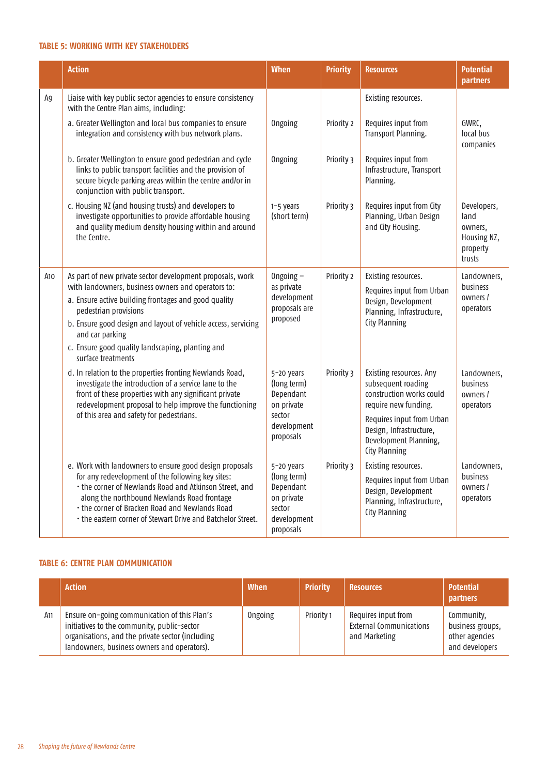#### **TABLE 5: WORKING WITH KEY STAKEHOLDERS**

|     | <b>Action</b>                                                                                                                                                                                                                         | <b>When</b>                                                   | <b>Priority</b> | <b>Resources</b>                                                                                      | <b>Potential</b><br><b>partners</b>                                 |
|-----|---------------------------------------------------------------------------------------------------------------------------------------------------------------------------------------------------------------------------------------|---------------------------------------------------------------|-----------------|-------------------------------------------------------------------------------------------------------|---------------------------------------------------------------------|
| A9  | Liaise with key public sector agencies to ensure consistency<br>with the Centre Plan aims, including:                                                                                                                                 |                                                               |                 | Existing resources.                                                                                   |                                                                     |
|     | a. Greater Wellington and local bus companies to ensure<br>integration and consistency with bus network plans.                                                                                                                        | <b>Ongoing</b>                                                | Priority 2      | Requires input from<br>Transport Planning.                                                            | GWRC,<br>local bus<br>companies                                     |
|     | b. Greater Wellington to ensure good pedestrian and cycle<br>links to public transport facilities and the provision of<br>secure bicycle parking areas within the centre and/or in<br>conjunction with public transport.              | <b>Ongoing</b>                                                | Priority 3      | Requires input from<br>Infrastructure, Transport<br>Planning.                                         |                                                                     |
|     | c. Housing NZ (and housing trusts) and developers to<br>investigate opportunities to provide affordable housing<br>and quality medium density housing within and around<br>the Centre.                                                | 1-5 years<br>(short term)                                     | Priority 3      | Requires input from City<br>Planning, Urban Design<br>and City Housing.                               | Developers,<br>land<br>owners,<br>Housing NZ,<br>property<br>trusts |
| A10 | As part of new private sector development proposals, work<br>with landowners, business owners and operators to:                                                                                                                       | Ongoing $-$<br>as private                                     | Priority 2      | Existing resources.<br>Requires input from Urban                                                      | Landowners,<br>business<br>owners /<br>operators                    |
|     | a. Ensure active building frontages and good quality<br>pedestrian provisions                                                                                                                                                         | development<br>proposals are                                  |                 | Design, Development<br>Planning, Infrastructure,                                                      |                                                                     |
|     | b. Ensure good design and layout of vehicle access, servicing<br>and car parking                                                                                                                                                      | proposed                                                      |                 | <b>City Planning</b>                                                                                  |                                                                     |
|     | c. Ensure good quality landscaping, planting and<br>surface treatments                                                                                                                                                                |                                                               |                 |                                                                                                       |                                                                     |
|     | d. In relation to the properties fronting Newlands Road,<br>investigate the introduction of a service lane to the<br>front of these properties with any significant private<br>redevelopment proposal to help improve the functioning | 5-20 years<br>(long term)<br>Dependant<br>on private          | Priority 3      | Existing resources. Any<br>subsequent roading<br>construction works could<br>require new funding.     | Landowners,<br>business<br>owners /<br>operators                    |
|     | of this area and safety for pedestrians.                                                                                                                                                                                              | sector<br>development<br>proposals                            |                 | Requires input from Urban<br>Design, Infrastructure,<br>Development Planning,<br><b>City Planning</b> |                                                                     |
|     | e. Work with landowners to ensure good design proposals<br>for any redevelopment of the following key sites:                                                                                                                          | 5-20 years<br>(long term)                                     | Priority 3      | Existing resources.                                                                                   | Landowners,<br>business                                             |
|     | • the corner of Newlands Road and Atkinson Street, and<br>along the northbound Newlands Road frontage<br>• the corner of Bracken Road and Newlands Road<br>. the eastern corner of Stewart Drive and Batchelor Street.                | Dependant<br>on private<br>sector<br>development<br>proposals |                 | Requires input from Urban<br>Design, Development<br>Planning, Infrastructure,<br><b>City Planning</b> | owners /<br>operators                                               |

#### **TABLE 6: CENTRE PLAN COMMUNICATION**

|     | <b>Action</b>                                                                                                                                                                                  | <b>When</b>    | <b>Priority</b> | <b>Resources</b>                                                       | <b>Potential</b><br><b>partners</b>                                |
|-----|------------------------------------------------------------------------------------------------------------------------------------------------------------------------------------------------|----------------|-----------------|------------------------------------------------------------------------|--------------------------------------------------------------------|
| A11 | Ensure on-going communication of this Plan's<br>initiatives to the community, public-sector<br>organisations, and the private sector (including<br>landowners, business owners and operators). | <b>Ongoing</b> | Priority 1      | Requires input from<br><b>External Communications</b><br>and Marketing | Community,<br>business groups,<br>other agencies<br>and developers |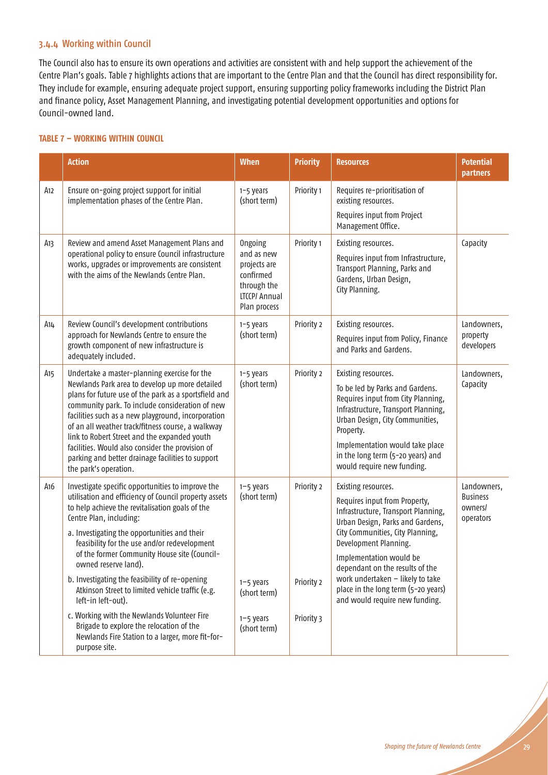#### 3.4.4 Working within Council

The Council also has to ensure its own operations and activities are consistent with and help support the achievement of the Centre Plan's goals. Table 7 highlights actions that are important to the Centre Plan and that the Council has direct responsibility for. They include for example, ensuring adequate project support, ensuring supporting policy frameworks including the District Plan and finance policy, Asset Management Planning, and investigating potential development opportunities and options for Council-owned land.

#### **TABLE 7 – WORKING WITHIN COUNCIL**

|                 | <b>Action</b>                                                                                                                                                                                                                                                                                                                                                                                                                                                                                                                               | <b>When</b>                                                                                        | <b>Priority</b>                        | <b>Resources</b>                                                                                                                                                                                                                                                                                                                                                        | <b>Potential</b><br>partners                           |
|-----------------|---------------------------------------------------------------------------------------------------------------------------------------------------------------------------------------------------------------------------------------------------------------------------------------------------------------------------------------------------------------------------------------------------------------------------------------------------------------------------------------------------------------------------------------------|----------------------------------------------------------------------------------------------------|----------------------------------------|-------------------------------------------------------------------------------------------------------------------------------------------------------------------------------------------------------------------------------------------------------------------------------------------------------------------------------------------------------------------------|--------------------------------------------------------|
| A12             | Ensure on-going project support for initial<br>implementation phases of the Centre Plan.                                                                                                                                                                                                                                                                                                                                                                                                                                                    | 1-5 years<br>(short term)                                                                          | Priority 1                             | Requires re-prioritisation of<br>existing resources.<br>Requires input from Project                                                                                                                                                                                                                                                                                     |                                                        |
| A13             | Review and amend Asset Management Plans and<br>operational policy to ensure Council infrastructure<br>works, upgrades or improvements are consistent<br>with the aims of the Newlands Centre Plan.                                                                                                                                                                                                                                                                                                                                          | Ongoing<br>and as new<br>projects are<br>confirmed<br>through the<br>LTCCP/ Annual<br>Plan process | Priority 1                             | Management Office.<br>Existing resources.<br>Requires input from Infrastructure,<br>Transport Planning, Parks and<br>Gardens, Urban Design,<br>City Planning.                                                                                                                                                                                                           | Capacity                                               |
| A14             | Review Council's development contributions<br>approach for Newlands Centre to ensure the<br>growth component of new infrastructure is<br>adequately included.                                                                                                                                                                                                                                                                                                                                                                               | 1-5 years<br>(short term)                                                                          | Priority 2                             | Existing resources.<br>Requires input from Policy, Finance<br>and Parks and Gardens.                                                                                                                                                                                                                                                                                    | Landowners,<br>property<br>developers                  |
| A <sub>15</sub> | Undertake a master-planning exercise for the<br>Newlands Park area to develop up more detailed<br>plans for future use of the park as a sportsfield and<br>community park. To include consideration of new<br>facilities such as a new playground, incorporation<br>of an all weather track/fitness course, a walkway<br>link to Robert Street and the expanded youth<br>facilities. Would also consider the provision of<br>parking and better drainage facilities to support<br>the park's operation.                                     | 1-5 years<br>(short term)                                                                          | Priority 2                             | Existing resources.<br>To be led by Parks and Gardens.<br>Requires input from City Planning,<br>Infrastructure, Transport Planning,<br>Urban Design, City Communities,<br>Property.<br>Implementation would take place<br>in the long term (5-20 years) and<br>would require new funding.                                                                               | Landowners,<br>Capacity                                |
| A16             | Investigate specific opportunities to improve the<br>utilisation and efficiency of Council property assets<br>to help achieve the revitalisation goals of the<br>Centre Plan, including:<br>a. Investigating the opportunities and their<br>feasibility for the use and/or redevelopment<br>of the former Community House site (Council-<br>owned reserve land).<br>b. Investigating the feasibility of re-opening<br>Atkinson Street to limited vehicle traffic (e.g.<br>left-in left-out).<br>c. Working with the Newlands Volunteer Fire | 1-5 years<br>(short term)<br>1-5 years<br>(short term)<br>1-5 years                                | Priority 2<br>Priority 2<br>Priority 3 | Existing resources.<br>Requires input from Property,<br>Infrastructure, Transport Planning,<br>Urban Design, Parks and Gardens,<br>City Communities, City Planning,<br>Development Planning.<br>Implementation would be<br>dependant on the results of the<br>work undertaken - likely to take<br>place in the long term (5-20 years)<br>and would require new funding. | Landowners,<br><b>Business</b><br>owners/<br>operators |
|                 | Brigade to explore the relocation of the<br>Newlands Fire Station to a larger, more fit-for-<br>purpose site.                                                                                                                                                                                                                                                                                                                                                                                                                               | (short term)                                                                                       |                                        |                                                                                                                                                                                                                                                                                                                                                                         |                                                        |